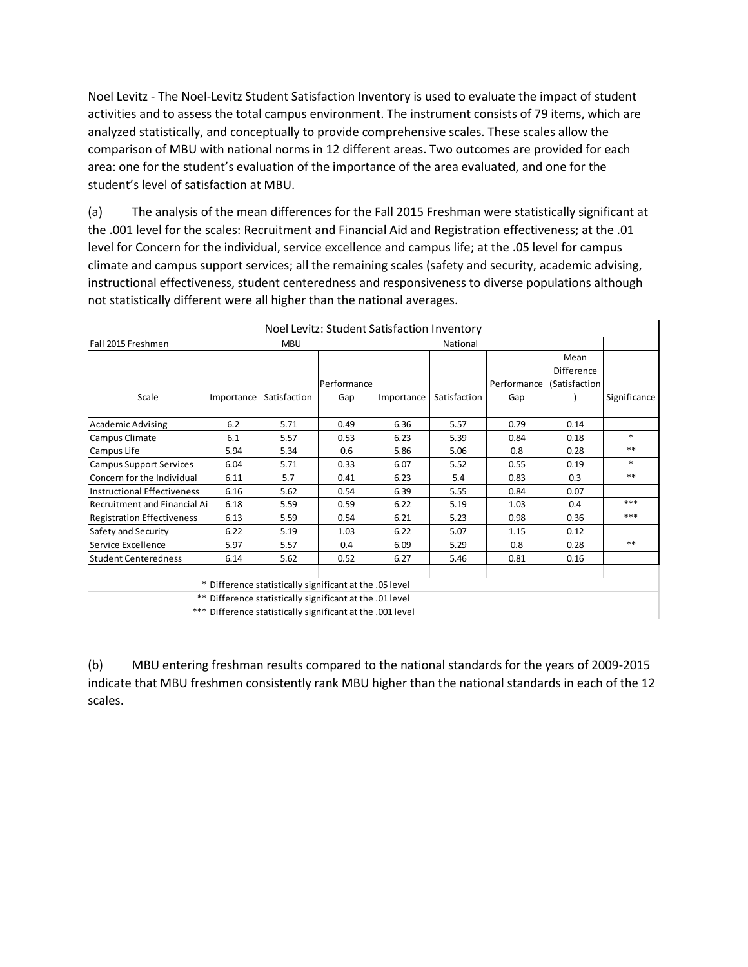Noel Levitz - The Noel-Levitz Student Satisfaction Inventory is used to evaluate the impact of student activities and to assess the total campus environment. The instrument consists of 79 items, which are analyzed statistically, and conceptually to provide comprehensive scales. These scales allow the comparison of MBU with national norms in 12 different areas. Two outcomes are provided for each area: one for the student's evaluation of the importance of the area evaluated, and one for the student's level of satisfaction at MBU.

(a) The analysis of the mean differences for the Fall 2015 Freshman were statistically significant at the .001 level for the scales: Recruitment and Financial Aid and Registration effectiveness; at the .01 level for Concern for the individual, service excellence and campus life; at the .05 level for campus climate and campus support services; all the remaining scales (safety and security, academic advising, instructional effectiveness, student centeredness and responsiveness to diverse populations although not statistically different were all higher than the national averages.

| Noel Levitz: Student Satisfaction Inventory              |                                                            |              |             |            |              |             |               |              |
|----------------------------------------------------------|------------------------------------------------------------|--------------|-------------|------------|--------------|-------------|---------------|--------------|
| Fall 2015 Freshmen                                       | <b>MBU</b>                                                 |              |             | National   |              |             |               |              |
|                                                          |                                                            |              |             |            |              |             | Mean          |              |
|                                                          |                                                            |              |             |            |              |             | Difference    |              |
|                                                          |                                                            |              | Performance |            |              | Performance | (Satisfaction |              |
| Scale                                                    | Importance                                                 | Satisfaction | Gap         | Importance | Satisfaction | Gap         |               | Significance |
|                                                          |                                                            |              |             |            |              |             |               |              |
| Academic Advising                                        | 6.2                                                        | 5.71         | 0.49        | 6.36       | 5.57         | 0.79        | 0.14          |              |
| Campus Climate                                           | 6.1                                                        | 5.57         | 0.53        | 6.23       | 5.39         | 0.84        | 0.18          | $*$          |
| Campus Life                                              | 5.94                                                       | 5.34         | 0.6         | 5.86       | 5.06         | 0.8         | 0.28          | $**$         |
| <b>Campus Support Services</b>                           | 6.04                                                       | 5.71         | 0.33        | 6.07       | 5.52         | 0.55        | 0.19          | $*$          |
| Concern for the Individual                               | 6.11                                                       | 5.7          | 0.41        | 6.23       | 5.4          | 0.83        | 0.3           | $**$         |
| Instructional Effectiveness                              | 6.16                                                       | 5.62         | 0.54        | 6.39       | 5.55         | 0.84        | 0.07          |              |
| <b>Recruitment and Financial Ail</b>                     | 6.18                                                       | 5.59         | 0.59        | 6.22       | 5.19         | 1.03        | 0.4           | ***          |
| <b>Registration Effectiveness</b>                        | 6.13                                                       | 5.59         | 0.54        | 6.21       | 5.23         | 0.98        | 0.36          | ***          |
| Safety and Security                                      | 6.22                                                       | 5.19         | 1.03        | 6.22       | 5.07         | 1.15        | 0.12          |              |
| Service Excellence                                       | 5.97                                                       | 5.57         | 0.4         | 6.09       | 5.29         | 0.8         | 0.28          | $***$        |
| <b>Student Centeredness</b>                              | 6.14                                                       | 5.62         | 0.52        | 6.27       | 5.46         | 0.81        | 0.16          |              |
|                                                          |                                                            |              |             |            |              |             |               |              |
| * Difference statistically significant at the .05 level  |                                                            |              |             |            |              |             |               |              |
| ** Difference statistically significant at the .01 level |                                                            |              |             |            |              |             |               |              |
|                                                          | *** Difference statistically significant at the .001 level |              |             |            |              |             |               |              |

(b) MBU entering freshman results compared to the national standards for the years of 2009-2015 indicate that MBU freshmen consistently rank MBU higher than the national standards in each of the 12 scales.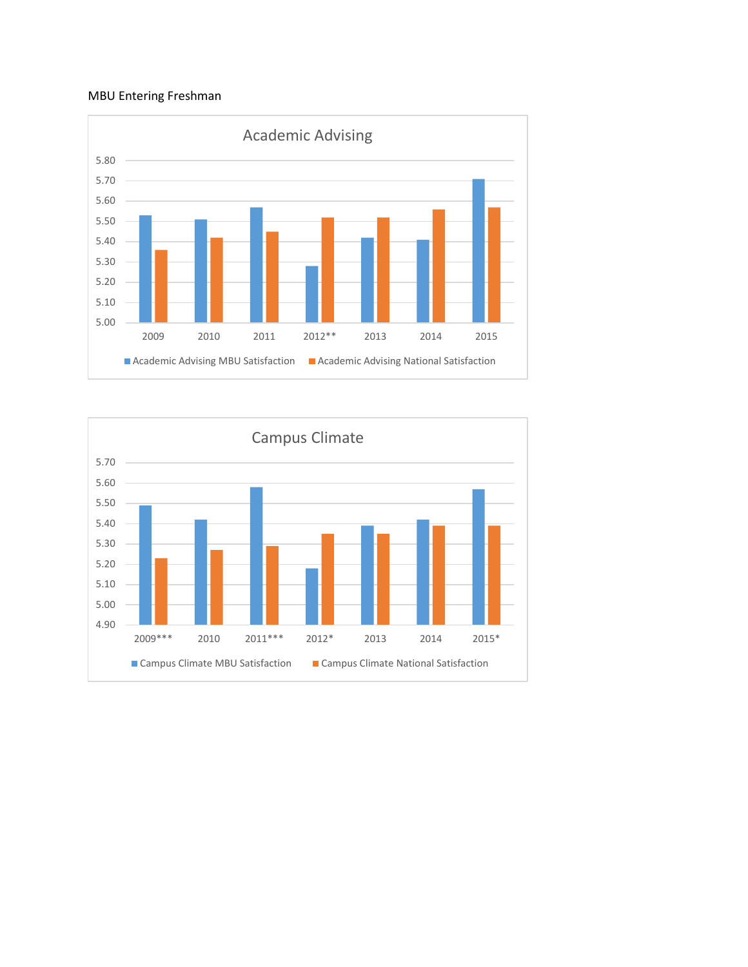## MBU Entering Freshman



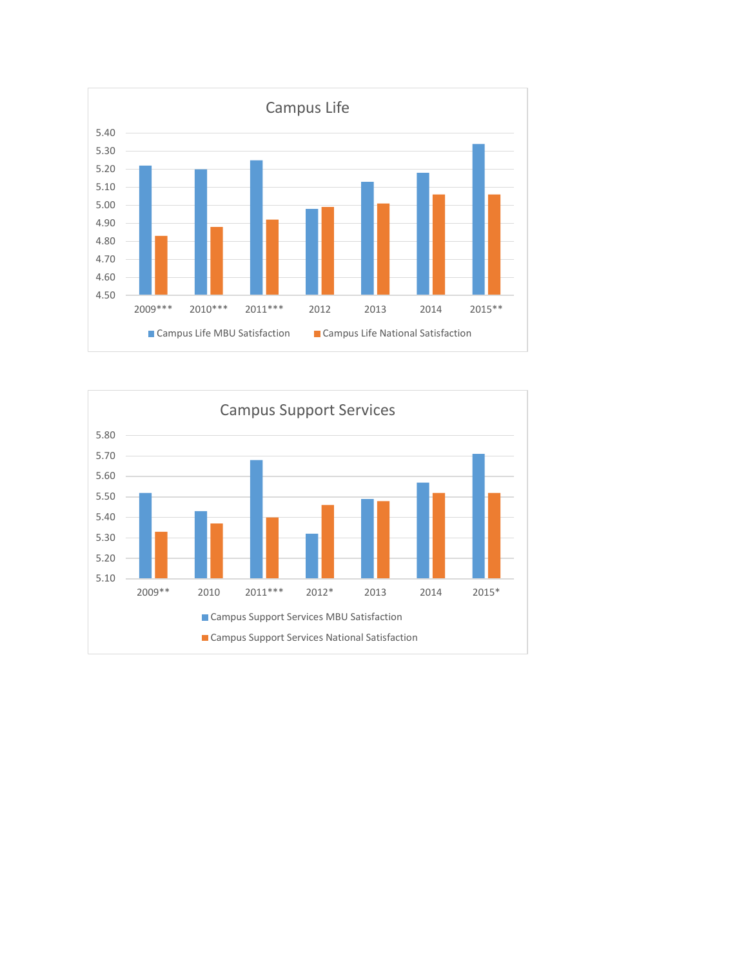

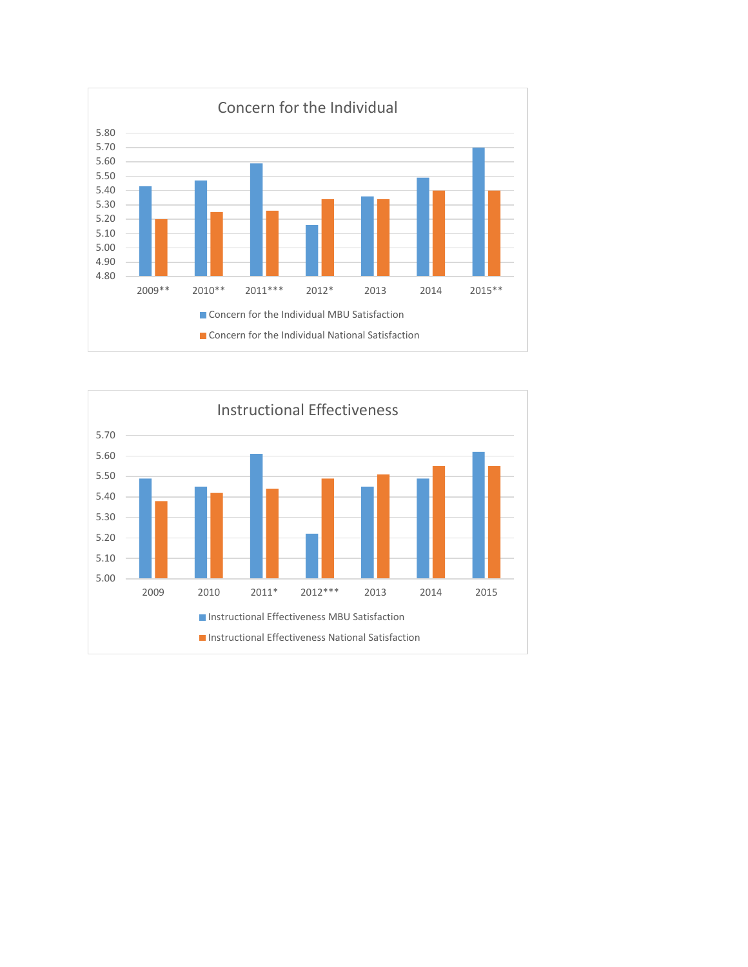

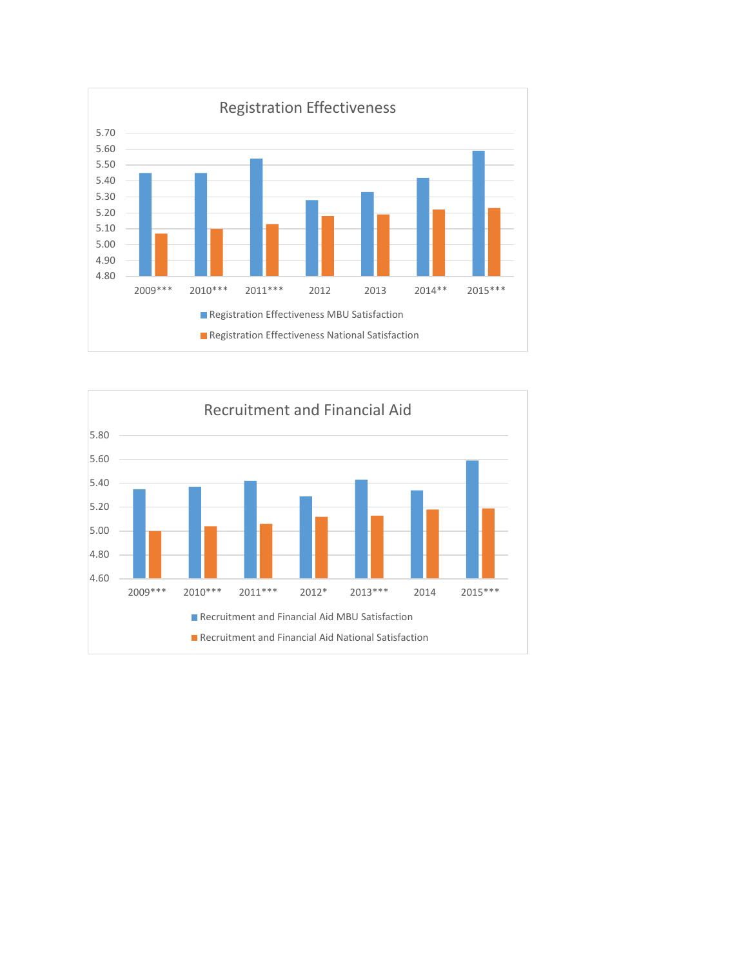

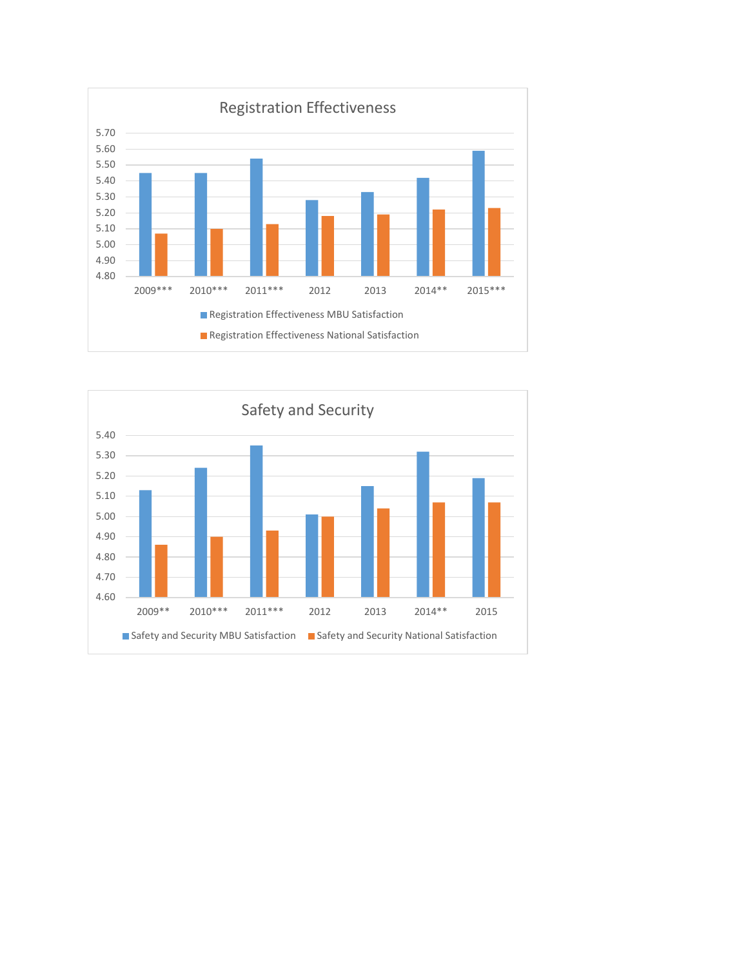